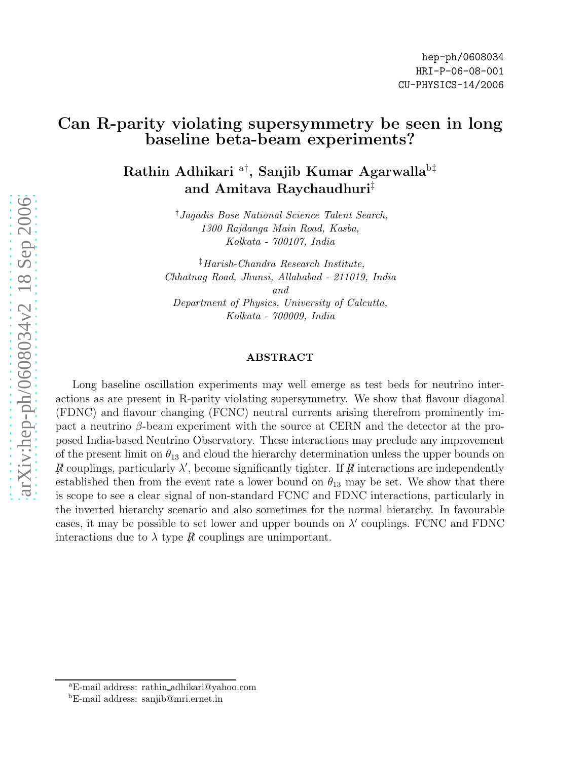### Can R-parity violating supersymmetry be seen in long baseline beta-beam experiments?

Rathin Adhikari  $^{\mathrm{a}\dagger},$  Sanjib Kumar Agarwalla $^{\mathrm{b}\ddagger}$ and Amitava Raychaudhuri ‡

> †Jagadis Bose National Science Talent Search, 1300 Rajdanga Main Road, Kasba, Kolkata - 700107, India

‡Harish-Chandra Research Institute, Chhatnag Road, Jhunsi, Allahabad - 211019, India and Department of Physics, University of Calcutta, Kolkata - 700009, India

#### ABSTRACT

Long baseline oscillation experiments may well emerge as test beds for neutrino interactions as are present in R-parity violating supersymmetry. We show that flavour diagonal (FDNC) and flavour changing (FCNC) neutral currents arising therefrom prominently impact a neutrino β-beam experiment with the source at CERN and the detector at the proposed India-based Neutrino Observatory. These interactions may preclude any improvement of the present limit on  $\theta_{13}$  and cloud the hierarchy determination unless the upper bounds on R couplings, particularly  $\lambda'$ , become significantly tighter. If R interactions are independently established then from the event rate a lower bound on  $\theta_{13}$  may be set. We show that there is scope to see a clear signal of non-standard FCNC and FDNC interactions, particularly in the inverted hierarchy scenario and also sometimes for the normal hierarchy. In favourable cases, it may be possible to set lower and upper bounds on  $\lambda'$  couplings. FCNC and FDNC interactions due to  $\lambda$  type  $\cancel{R}$  couplings are unimportant.

<sup>&</sup>lt;sup>a</sup>E-mail address: rathin adhikari@yahoo.com **bE-mail address: sanjib@mri.ernet.in**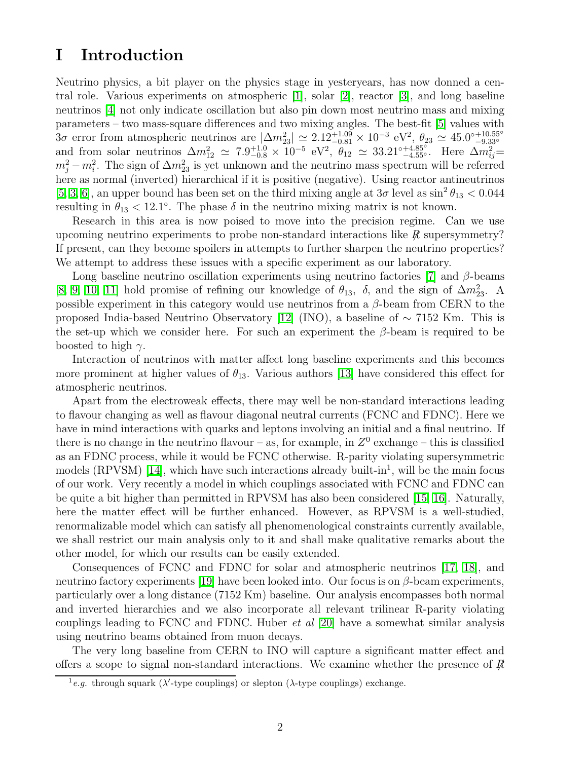## I Introduction

Neutrino physics, a bit player on the physics stage in yesteryears, has now donned a central role. Various experiments on atmospheric [\[1\]](#page-11-0), solar [\[2\]](#page-11-1), reactor [\[3\]](#page-11-2), and long baseline neutrinos [\[4\]](#page-11-3) not only indicate oscillation but also pin down most neutrino mass and mixing parameters – two mass-square differences and two mixing angles. The best-fit [\[5\]](#page-11-4) values with  $3\sigma$  error from atmospheric neutrinos are  $|\Delta m_{23}^2| \simeq 2.12^{+1.09}_{-0.81} \times 10^{-3}$  eV<sup>2</sup>,  $\theta_{23} \simeq 45.0^{\circ}$  $^{+10.55^{\circ}}_{-9.33^{\circ}}$ and from solar neutrinos  $\Delta m_{12}^2 \simeq 7.9^{+1.0}_{-0.8} \times 10^{-5}$  eV<sup>2</sup>,  $\theta_{12}^2 \simeq 33.21^{\circ} + 4.85^{\circ}$ . Here  $\Delta m_{ij}^2 =$  $m_j^2 - m_i^2$ . The sign of  $\Delta m_{23}^2$  is yet unknown and the neutrino mass spectrum will be referred here as normal (inverted) hierarchical if it is positive (negative). Using reactor antineutrinos [\[5,](#page-11-4) [3,](#page-11-2) [6\]](#page-11-5), an upper bound has been set on the third mixing angle at  $3\sigma$  level as  $\sin^2\theta_{13} < 0.044$ resulting in  $\theta_{13}$  < 12.1°. The phase  $\delta$  in the neutrino mixing matrix is not known.

Research in this area is now poised to move into the precision regime. Can we use upcoming neutrino experiments to probe non-standard interactions like  $\mathcal{R}$  supersymmetry? If present, can they become spoilers in attempts to further sharpen the neutrino properties? We attempt to address these issues with a specific experiment as our laboratory.

Long baseline neutrino oscillation experiments using neutrino factories [\[7\]](#page-11-6) and  $\beta$ -beams [\[8,](#page-11-7) [9,](#page-11-8) [10,](#page-11-9) [11\]](#page-11-10) hold promise of refining our knowledge of  $\theta_{13}$ ,  $\delta$ , and the sign of  $\Delta m^2_{23}$ . A possible experiment in this category would use neutrinos from a  $\beta$ -beam from CERN to the proposed India-based Neutrino Observatory [\[12\]](#page-11-11) (INO), a baseline of ∼ 7152 Km. This is the set-up which we consider here. For such an experiment the  $\beta$ -beam is required to be boosted to high  $\gamma$ .

Interaction of neutrinos with matter affect long baseline experiments and this becomes more prominent at higher values of  $\theta_{13}$ . Various authors [\[13\]](#page-11-12) have considered this effect for atmospheric neutrinos.

Apart from the electroweak effects, there may well be non-standard interactions leading to flavour changing as well as flavour diagonal neutral currents (FCNC and FDNC). Here we have in mind interactions with quarks and leptons involving an initial and a final neutrino. If there is no change in the neutrino flavour – as, for example, in  $Z^0$  exchange – this is classified as an FDNC process, while it would be FCNC otherwise. R-parity violating supersymmetric models (RPVSM) [\[14\]](#page-11-13), which have such interactions already built-in<sup>1</sup>, will be the main focus of our work. Very recently a model in which couplings associated with FCNC and FDNC can be quite a bit higher than permitted in RPVSM has also been considered [\[15,](#page-11-14) [16\]](#page-12-0). Naturally, here the matter effect will be further enhanced. However, as RPVSM is a well-studied, renormalizable model which can satisfy all phenomenological constraints currently available, we shall restrict our main analysis only to it and shall make qualitative remarks about the other model, for which our results can be easily extended.

Consequences of FCNC and FDNC for solar and atmospheric neutrinos [\[17,](#page-12-1) [18\]](#page-12-2), and neutrino factory experiments [\[19\]](#page-12-3) have been looked into. Our focus is on β-beam experiments, particularly over a long distance (7152 Km) baseline. Our analysis encompasses both normal and inverted hierarchies and we also incorporate all relevant trilinear R-parity violating couplings leading to FCNC and FDNC. Huber et al [\[20\]](#page-12-4) have a somewhat similar analysis using neutrino beams obtained from muon decays.

The very long baseline from CERN to INO will capture a significant matter effect and offers a scope to signal non-standard interactions. We examine whether the presence of  $\vec{R}$ 

<sup>&</sup>lt;sup>1</sup>e.g. through squark ( $λ'$ -type couplings) or slepton ( $λ$ -type couplings) exchange.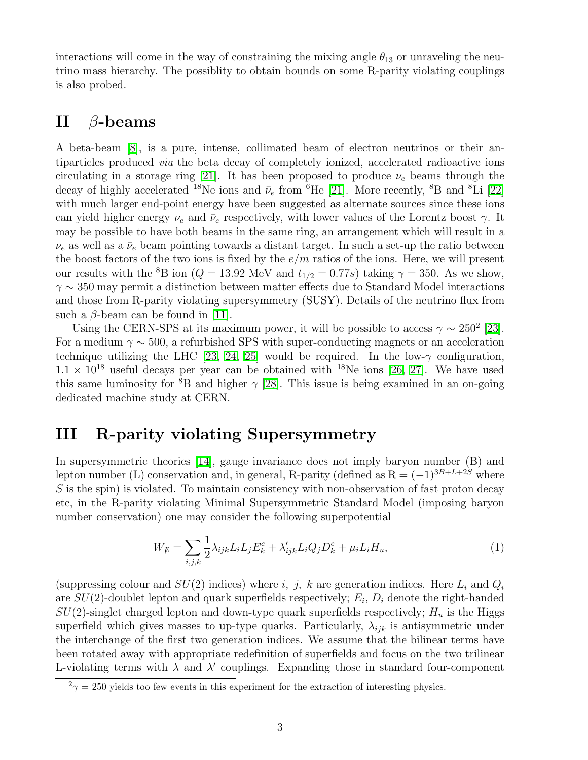interactions will come in the way of constraining the mixing angle  $\theta_{13}$  or unraveling the neutrino mass hierarchy. The possiblity to obtain bounds on some R-parity violating couplings is also probed.

## II β-beams

A beta-beam [\[8\]](#page-11-7), is a pure, intense, collimated beam of electron neutrinos or their antiparticles produced via the beta decay of completely ionized, accelerated radioactive ions circulating in a storage ring [\[21\]](#page-12-5). It has been proposed to produce  $\nu_e$  beams through the decay of highly accelerated <sup>18</sup>Ne ions and  $\bar{\nu}_e$  from <sup>6</sup>He [\[21\]](#page-12-5). More recently, <sup>8</sup>B and <sup>8</sup>Li [\[22\]](#page-12-6) with much larger end-point energy have been suggested as alternate sources since these ions can yield higher energy  $\nu_e$  and  $\bar{\nu}_e$  respectively, with lower values of the Lorentz boost  $\gamma$ . It may be possible to have both beams in the same ring, an arrangement which will result in a  $\nu_e$  as well as a  $\bar{\nu}_e$  beam pointing towards a distant target. In such a set-up the ratio between the boost factors of the two ions is fixed by the  $e/m$  ratios of the ions. Here, we will present our results with the <sup>8</sup>B ion ( $Q = 13.92$  MeV and  $t_{1/2} = 0.77s$ ) taking  $\gamma = 350$ . As we show,  $\gamma \sim 350$  may permit a distinction between matter effects due to Standard Model interactions and those from R-parity violating supersymmetry (SUSY). Details of the neutrino flux from such a  $\beta$ -beam can be found in [\[11\]](#page-11-10).

Using the CERN-SPS at its maximum power, it will be possible to access  $\gamma \sim 250^2$  [\[23\]](#page-12-7). For a medium  $\gamma \sim 500$ , a refurbished SPS with super-conducting magnets or an acceleration technique utilizing the LHC [\[23,](#page-12-7) [24,](#page-12-8) [25\]](#page-12-9) would be required. In the low- $\gamma$  configuration,  $1.1 \times 10^{18}$  useful decays per year can be obtained with <sup>18</sup>Ne ions [\[26,](#page-12-10) [27\]](#page-12-11). We have used this same luminosity for <sup>8</sup>B and higher  $\gamma$  [\[28\]](#page-12-12). This issue is being examined in an on-going dedicated machine study at CERN.

# III R-parity violating Supersymmetry

In supersymmetric theories [\[14\]](#page-11-13), gauge invariance does not imply baryon number (B) and lepton number (L) conservation and, in general, R-parity (defined as  $R = (-1)^{3B+L+2S}$  where  $S$  is the spin) is violated. To maintain consistency with non-observation of fast proton decay etc, in the R-parity violating Minimal Supersymmetric Standard Model (imposing baryon number conservation) one may consider the following superpotential

$$
W_{\mu} = \sum_{i,j,k} \frac{1}{2} \lambda_{ijk} L_i L_j E_k^c + \lambda'_{ijk} L_i Q_j D_k^c + \mu_i L_i H_u,
$$
\n(1)

(suppressing colour and  $SU(2)$  indices) where i, j, k are generation indices. Here  $L_i$  and  $Q_i$ are  $SU(2)$ -doublet lepton and quark superfields respectively;  $E_i$ ,  $D_i$  denote the right-handed  $SU(2)$ -singlet charged lepton and down-type quark superfields respectively;  $H_u$  is the Higgs superfield which gives masses to up-type quarks. Particularly,  $\lambda_{ijk}$  is antisymmetric under the interchange of the first two generation indices. We assume that the bilinear terms have been rotated away with appropriate redefinition of superfields and focus on the two trilinear L-violating terms with  $\lambda$  and  $\lambda'$  couplings. Expanding those in standard four-component

 $^{2}\gamma = 250$  yields too few events in this experiment for the extraction of interesting physics.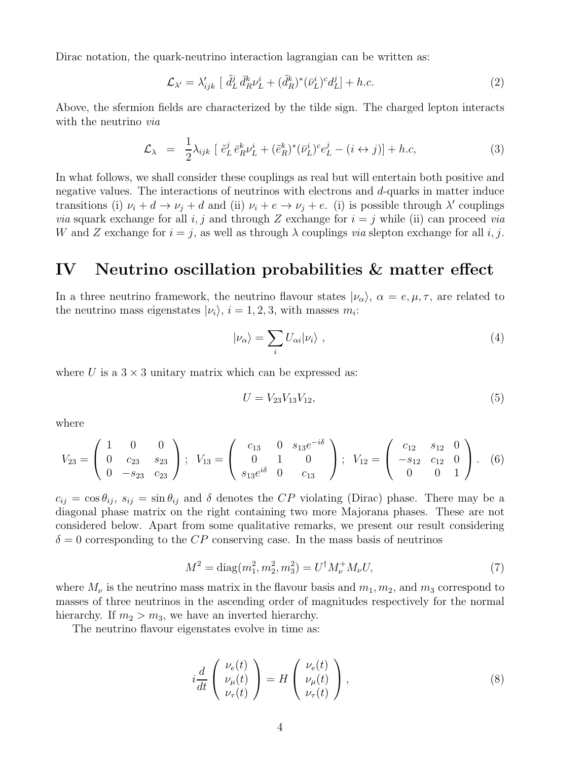Dirac notation, the quark-neutrino interaction lagrangian can be written as:

$$
\mathcal{L}_{\lambda'} = \lambda'_{ijk} \left[ \tilde{d}_L^j \bar{d}_R^k \nu_L^i + (\tilde{d}_R^k)^* (\bar{\nu}_L^i)^c d_L^j \right] + h.c.
$$
 (2)

Above, the sfermion fields are characterized by the tilde sign. The charged lepton interacts with the neutrino *via* 

$$
\mathcal{L}_{\lambda} = \frac{1}{2} \lambda_{ijk} \left[ \tilde{e}_L^j \bar{e}_R^k \nu_L^i + (\tilde{e}_R^k)^* (\bar{\nu}_L^i)^c e_L^j - (i \leftrightarrow j) \right] + h.c,
$$
\n(3)

In what follows, we shall consider these couplings as real but will entertain both positive and negative values. The interactions of neutrinos with electrons and  $d$ -quarks in matter induce transitions (i)  $\nu_i + d \rightarrow \nu_j + d$  and (ii)  $\nu_i + e \rightarrow \nu_j + e$ . (i) is possible through  $\lambda'$  couplings *via* squark exchange for all i, j and through Z exchange for  $i = j$  while (ii) can proceed via W and Z exchange for  $i = j$ , as well as through  $\lambda$  couplings via slepton exchange for all i, j.

### IV Neutrino oscillation probabilities & matter effect

In a three neutrino framework, the neutrino flavour states  $|\nu_{\alpha}\rangle$ ,  $\alpha = e, \mu, \tau$ , are related to the neutrino mass eigenstates  $|\nu_i\rangle$ ,  $i = 1, 2, 3$ , with masses  $m_i$ :

$$
|\nu_{\alpha}\rangle = \sum_{i} U_{\alpha i} |\nu_{i}\rangle \tag{4}
$$

where U is a  $3 \times 3$  unitary matrix which can be expressed as:

$$
U = V_{23}V_{13}V_{12},\tag{5}
$$

where

$$
V_{23} = \begin{pmatrix} 1 & 0 & 0 \\ 0 & c_{23} & s_{23} \\ 0 & -s_{23} & c_{23} \end{pmatrix}; \quad V_{13} = \begin{pmatrix} c_{13} & 0 & s_{13}e^{-i\delta} \\ 0 & 1 & 0 \\ s_{13}e^{i\delta} & 0 & c_{13} \end{pmatrix}; \quad V_{12} = \begin{pmatrix} c_{12} & s_{12} & 0 \\ -s_{12} & c_{12} & 0 \\ 0 & 0 & 1 \end{pmatrix}.
$$
 (6)

 $c_{ij} = \cos \theta_{ij}$ ,  $s_{ij} = \sin \theta_{ij}$  and  $\delta$  denotes the CP violating (Dirac) phase. There may be a diagonal phase matrix on the right containing two more Majorana phases. These are not considered below. Apart from some qualitative remarks, we present our result considering  $\delta = 0$  corresponding to the CP conserving case. In the mass basis of neutrinos

<span id="page-3-0"></span>
$$
M^{2} = \text{diag}(m_{1}^{2}, m_{2}^{2}, m_{3}^{2}) = U^{\dagger} M_{\nu}^{+} M_{\nu} U,
$$
\n(7)

where  $M_{\nu}$  is the neutrino mass matrix in the flavour basis and  $m_1, m_2$ , and  $m_3$  correspond to masses of three neutrinos in the ascending order of magnitudes respectively for the normal hierarchy. If  $m_2 > m_3$ , we have an inverted hierarchy.

The neutrino flavour eigenstates evolve in time as:

$$
i\frac{d}{dt}\begin{pmatrix} \nu_e(t) \\ \nu_\mu(t) \\ \nu_\tau(t) \end{pmatrix} = H\begin{pmatrix} \nu_e(t) \\ \nu_\mu(t) \\ \nu_\tau(t) \end{pmatrix},\tag{8}
$$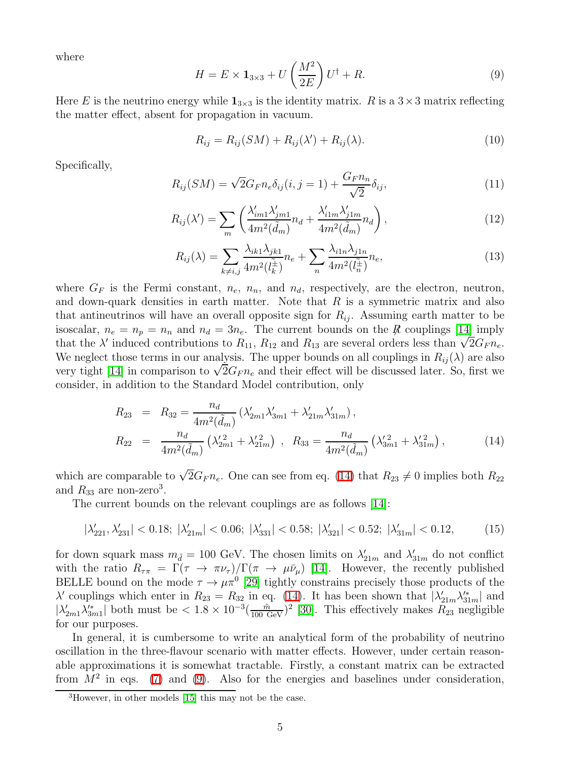where

<span id="page-4-1"></span>
$$
H = E \times \mathbf{1}_{3 \times 3} + U\left(\frac{M^2}{2E}\right)U^{\dagger} + R. \tag{9}
$$

Here E is the neutrino energy while  $\mathbf{1}_{3\times 3}$  is the identity matrix. R is a  $3\times 3$  matrix reflecting the matter effect, absent for propagation in vacuum.

$$
R_{ij} = R_{ij}(SM) + R_{ij}(\lambda') + R_{ij}(\lambda). \tag{10}
$$

Specifically,

$$
R_{ij}(SM) = \sqrt{2}G_F n_e \delta_{ij}(i, j = 1) + \frac{G_F n_n}{\sqrt{2}} \delta_{ij},
$$
\n(11)

$$
R_{ij}(\lambda') = \sum_{m} \left( \frac{\lambda'_{im1} \lambda'_{jm1}}{4m^2(\tilde{d}_m)} n_d + \frac{\lambda'_{im} \lambda'_{j1m}}{4m^2(\tilde{d}_m)} n_d \right),\tag{12}
$$

<span id="page-4-3"></span>
$$
R_{ij}(\lambda) = \sum_{k \neq i,j} \frac{\lambda_{ik1} \lambda_{jkl}}{4m^2(\tilde{l}_k^{\pm})} n_e + \sum_n \frac{\lambda_{i1n} \lambda_{j1n}}{4m^2(\tilde{l}_n^{\pm})} n_e,
$$
\n(13)

where  $G_F$  is the Fermi constant,  $n_e$ ,  $n_n$ , and  $n_d$ , respectively, are the electron, neutron, and down-quark densities in earth matter. Note that  $R$  is a symmetric matrix and also that antineutrinos will have an overall opposite sign for  $R_{ij}$ . Assuming earth matter to be isoscalar,  $n_e = n_p = n_n$  and  $n_d = 3n_e$ . The current bounds on the  $\cancel{R}$  couplings [\[14\]](#page-11-13) imply that the  $\lambda'$  induced contributions to  $R_{11}$ ,  $R_{12}$  and  $R_{13}$  are several orders less than  $\sqrt{2}G_{F}n_{e}$ . We neglect those terms in our analysis. The upper bounds on all couplings in  $R_{ij}(\lambda)$  are also very tight [\[14\]](#page-11-13) in comparison to  $\sqrt{2}G_{F}n_{e}$  and their effect will be discussed later. So, first we consider, in addition to the Standard Model contribution, only

$$
R_{23} = R_{32} = \frac{n_d}{4m^2(\tilde{d}_m)} \left( \lambda'_{2m1} \lambda'_{3m1} + \lambda'_{21m} \lambda'_{31m} \right),
$$
  
\n
$$
R_{22} = \frac{n_d}{4m^2(\tilde{d}_m)} \left( \lambda'_{2m1}^2 + \lambda'_{21m}^2 \right), \quad R_{33} = \frac{n_d}{4m^2(\tilde{d}_m)} \left( \lambda'_{3m1}^2 + \lambda'_{31m}^2 \right),
$$
\n(14)

<span id="page-4-0"></span>which are comparable to  $\sqrt{2}G_F n_e$ . One can see from eq. [\(14\)](#page-4-0) that  $R_{23} \neq 0$  implies both  $R_{22}$ and  $R_{33}$  are non-zero<sup>3</sup>.

The current bounds on the relevant couplings are as follows [\[14\]](#page-11-13):

$$
|\lambda'_{221}, \lambda'_{231}| < 0.18; \ |\lambda'_{21m}| < 0.06; \ |\lambda'_{331}| < 0.58; \ |\lambda'_{321}| < 0.52; \ |\lambda'_{31m}| < 0.12, \tag{15}
$$

<span id="page-4-2"></span>for down squark mass  $m_{\tilde{d}} = 100 \text{ GeV}$ . The chosen limits on  $\lambda'_{21m}$  and  $\lambda'_{31m}$  do not conflict with the ratio  $R_{\tau\pi} = \Gamma(\tau \to \pi\nu_{\tau})/\Gamma(\pi \to \mu\bar{\nu}_{\mu})$  [\[14\]](#page-11-13). However, the recently published BELLE bound on the mode  $\tau \to \mu \pi^0$  [\[29\]](#page-12-13) tightly constrains precisely those products of the  $\lambda'$  couplings which enter in  $R_{23} = R_{32}$  in eq. [\(14\)](#page-4-0). It has been shown that  $|\lambda'_{21m}\lambda'^*_{31m}|$  and  $|\lambda'_{2m1}\lambda'^*_{3m1}|$  both must be  $\langle 1.8 \times 10^{-3} (\frac{\tilde{m}}{100 \text{ GeV}})^2]$  [\[30\]](#page-12-14). This effectively makes  $R_{23}$  negligible for our purposes.

In general, it is cumbersome to write an analytical form of the probability of neutrino oscillation in the three-flavour scenario with matter effects. However, under certain reasonable approximations it is somewhat tractable. Firstly, a constant matrix can be extracted from  $M^2$  in eqs. [\(7\)](#page-3-0) and [\(9\)](#page-4-1). Also for the energies and baselines under consideration,

<sup>3</sup>However, in other models [\[15\]](#page-11-14) this may not be the case.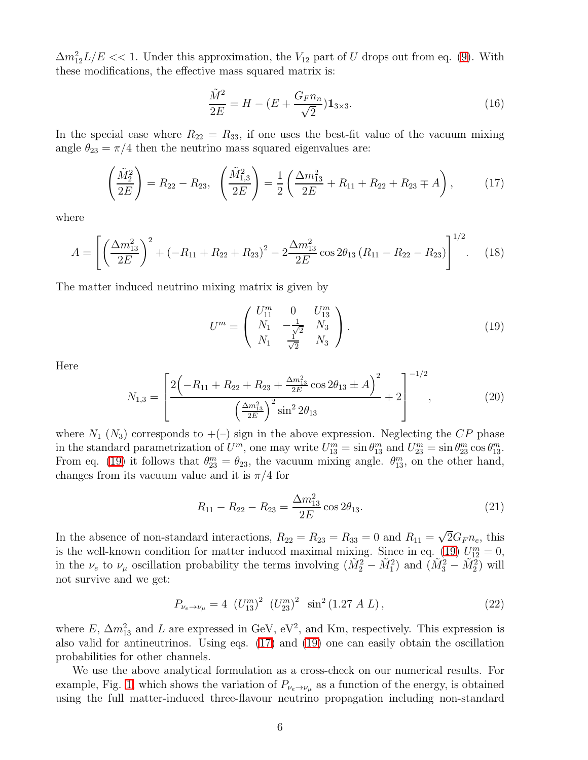$\Delta m_{12}^2 L/E \ll 1$ . Under this approximation, the  $V_{12}$  part of U drops out from eq. [\(9\)](#page-4-1). With these modifications, the effective mass squared matrix is:

$$
\frac{\tilde{M}^2}{2E} = H - (E + \frac{G_F n_n}{\sqrt{2}}) \mathbf{1}_{3 \times 3}.
$$
\n(16)

<span id="page-5-1"></span>In the special case where  $R_{22} = R_{33}$ , if one uses the best-fit value of the vacuum mixing angle  $\theta_{23} = \pi/4$  then the neutrino mass squared eigenvalues are:

$$
\left(\frac{\tilde{M}_2^2}{2E}\right) = R_{22} - R_{23}, \quad \left(\frac{\tilde{M}_{1,3}^2}{2E}\right) = \frac{1}{2} \left(\frac{\Delta m_{13}^2}{2E} + R_{11} + R_{22} + R_{23} \mp A\right), \tag{17}
$$

where

$$
A = \left[ \left( \frac{\Delta m_{13}^2}{2E} \right)^2 + \left( -R_{11} + R_{22} + R_{23} \right)^2 - 2 \frac{\Delta m_{13}^2}{2E} \cos 2\theta_{13} \left( R_{11} - R_{22} - R_{23} \right) \right]^{1/2} . \tag{18}
$$

The matter induced neutrino mixing matrix is given by

$$
U^{m} = \begin{pmatrix} U_{11}^{m} & 0 & U_{13}^{m} \\ N_{1} & -\frac{1}{\sqrt{2}} & N_{3} \\ N_{1} & \frac{1}{\sqrt{2}} & N_{3} \end{pmatrix}.
$$
 (19)

Here

<span id="page-5-0"></span>
$$
N_{1,3} = \left[ \frac{2\left(-R_{11} + R_{22} + R_{23} + \frac{\Delta m_{13}^2}{2E} \cos 2\theta_{13} \pm A\right)^2}{\left(\frac{\Delta m_{13}^2}{2E}\right)^2 \sin^2 2\theta_{13}} + 2 \right]^{-1/2},\tag{20}
$$

where  $N_1$  ( $N_3$ ) corresponds to  $+(-)$  sign in the above expression. Neglecting the CP phase in the standard parametrization of  $U^m$ , one may write  $U_{13}^m = \sin \theta_{13}^m$  and  $U_{23}^m = \sin \theta_{23}^m \cos \theta_{13}^m$ . From eq. [\(19\)](#page-5-0) it follows that  $\theta_{23}^m = \theta_{23}$ , the vacuum mixing angle.  $\theta_{13}^m$ , on the other hand, changes from its vacuum value and it is  $\pi/4$  for

<span id="page-5-2"></span>
$$
R_{11} - R_{22} - R_{23} = \frac{\Delta m_{13}^2}{2E} \cos 2\theta_{13}.
$$
 (21)

In the absence of non-standard interactions,  $R_{22} = R_{23} = R_{33} = 0$  and  $R_{11} = \sqrt{2}G_F n_e$ , this is the well-known condition for matter induced maximal mixing. Since in eq. [\(19\)](#page-5-0)  $U_{12}^m = 0$ , in the  $\nu_e$  to  $\nu_\mu$  oscillation probability the terms involving  $(\tilde{M}_2^2 - \tilde{M}_1^2)$  and  $(\tilde{M}_3^2 - \tilde{M}_2^2)$  will not survive and we get:

$$
P_{\nu_e \to \nu_\mu} = 4 \ (U_{13}^m)^2 \ (U_{23}^m)^2 \ \sin^2(1.27 \ A \ L), \tag{22}
$$

where  $E, \Delta m_{13}^2$  and L are expressed in GeV, eV<sup>2</sup>, and Km, respectively. This expression is also valid for antineutrinos. Using eqs. [\(17\)](#page-5-1) and [\(19\)](#page-5-0) one can easily obtain the oscillation probabilities for other channels.

We use the above analytical formulation as a cross-check on our numerical results. For example, Fig. [1,](#page-6-0) which shows the variation of  $P_{\nu_e \to \nu_\mu}$  as a function of the energy, is obtained using the full matter-induced three-flavour neutrino propagation including non-standard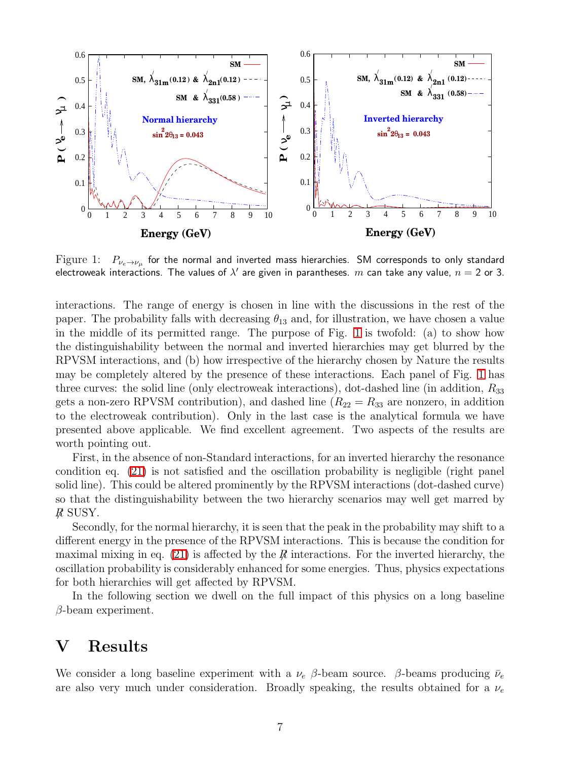

<span id="page-6-0"></span>Figure 1:  $P_{\nu_e\to\nu_\mu}$  for the normal and inverted mass hierarchies. SM corresponds to only standard electroweak interactions. The values of  $\lambda'$  are given in parantheses.  $m$  can take any value,  $n=2$  or 3.

interactions. The range of energy is chosen in line with the discussions in the rest of the paper. The probability falls with decreasing  $\theta_{13}$  and, for illustration, we have chosen a value in the middle of its permitted range. The purpose of Fig. [1](#page-6-0) is twofold: (a) to show how the distinguishability between the normal and inverted hierarchies may get blurred by the RPVSM interactions, and (b) how irrespective of the hierarchy chosen by Nature the results may be completely altered by the presence of these interactions. Each panel of Fig. [1](#page-6-0) has three curves: the solid line (only electroweak interactions), dot-dashed line (in addition,  $R_{33}$ ) gets a non-zero RPVSM contribution), and dashed line  $(R_{22} = R_{33}$  are nonzero, in addition to the electroweak contribution). Only in the last case is the analytical formula we have presented above applicable. We find excellent agreement. Two aspects of the results are worth pointing out.

First, in the absence of non-Standard interactions, for an inverted hierarchy the resonance condition eq. [\(21\)](#page-5-2) is not satisfied and the oscillation probability is negligible (right panel solid line). This could be altered prominently by the RPVSM interactions (dot-dashed curve) so that the distinguishability between the two hierarchy scenarios may well get marred by  $R$  SUSY.

Secondly, for the normal hierarchy, it is seen that the peak in the probability may shift to a different energy in the presence of the RPVSM interactions. This is because the condition for maximal mixing in eq. [\(21\)](#page-5-2) is affected by the R interactions. For the inverted hierarchy, the oscillation probability is considerably enhanced for some energies. Thus, physics expectations for both hierarchies will get affected by RPVSM.

In the following section we dwell on the full impact of this physics on a long baseline  $\beta$ -beam experiment.

### V Results

We consider a long baseline experiment with a  $\nu_e$  β-beam source. β-beams producing  $\bar{\nu}_e$ are also very much under consideration. Broadly speaking, the results obtained for a  $\nu_e$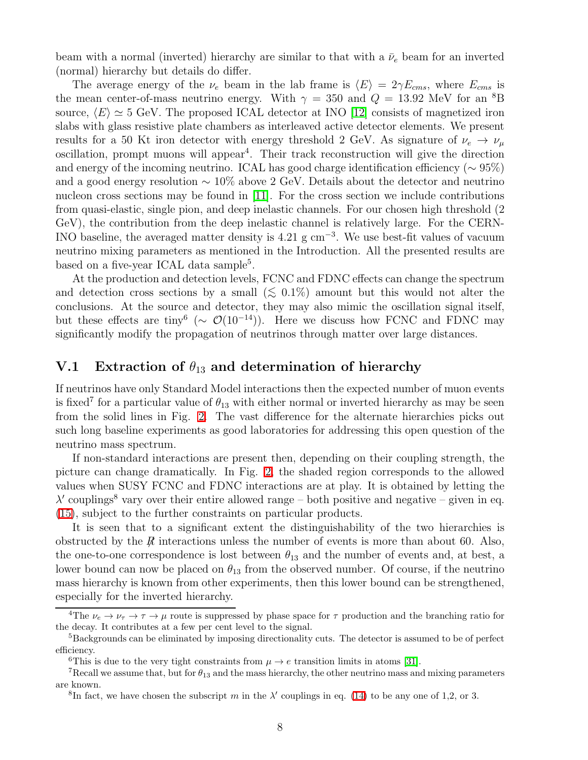beam with a normal (inverted) hierarchy are similar to that with a  $\bar{\nu}_e$  beam for an inverted (normal) hierarchy but details do differ.

The average energy of the  $\nu_e$  beam in the lab frame is  $\langle E \rangle = 2\gamma E_{cms}$ , where  $E_{cms}$  is the mean center-of-mass neutrino energy. With  $\gamma = 350$  and  $Q = 13.92$  MeV for an  ${}^{8}B$ source,  $\langle E \rangle \simeq 5$  GeV. The proposed ICAL detector at INO [\[12\]](#page-11-11) consists of magnetized iron slabs with glass resistive plate chambers as interleaved active detector elements. We present results for a 50 Kt iron detector with energy threshold 2 GeV. As signature of  $\nu_e \rightarrow \nu_\mu$ oscillation, prompt muons will appear<sup>4</sup>. Their track reconstruction will give the direction and energy of the incoming neutrino. ICAL has good charge identification efficiency ( $\sim 95\%$ ) and a good energy resolution  $\sim 10\%$  above 2 GeV. Details about the detector and neutrino nucleon cross sections may be found in [\[11\]](#page-11-10). For the cross section we include contributions from quasi-elastic, single pion, and deep inelastic channels. For our chosen high threshold (2 GeV), the contribution from the deep inelastic channel is relatively large. For the CERN-INO baseline, the averaged matter density is 4.21 g cm−<sup>3</sup> . We use best-fit values of vacuum neutrino mixing parameters as mentioned in the Introduction. All the presented results are based on a five-year ICAL data sample<sup>5</sup>.

At the production and detection levels, FCNC and FDNC effects can change the spectrum and detection cross sections by a small  $(\leq 0.1\%)$  amount but this would not alter the conclusions. At the source and detector, they may also mimic the oscillation signal itself, but these effects are tiny<sup>6</sup> ( $\sim$   $\mathcal{O}(10^{-14})$ ). Here we discuss how FCNC and FDNC may significantly modify the propagation of neutrinos through matter over large distances.

#### V.1 Extraction of  $\theta_{13}$  and determination of hierarchy

If neutrinos have only Standard Model interactions then the expected number of muon events is fixed<sup>7</sup> for a particular value of  $\theta_{13}$  with either normal or inverted hierarchy as may be seen from the solid lines in Fig. [2.](#page-8-0) The vast difference for the alternate hierarchies picks out such long baseline experiments as good laboratories for addressing this open question of the neutrino mass spectrum.

If non-standard interactions are present then, depending on their coupling strength, the picture can change dramatically. In Fig. [2,](#page-8-0) the shaded region corresponds to the allowed values when SUSY FCNC and FDNC interactions are at play. It is obtained by letting the  $\lambda'$  couplings<sup>8</sup> vary over their entire allowed range – both positive and negative – given in eq. [\(15\)](#page-4-2), subject to the further constraints on particular products.

It is seen that to a significant extent the distinguishability of the two hierarchies is obstructed by the  $\vec{R}$  interactions unless the number of events is more than about 60. Also, the one-to-one correspondence is lost between  $\theta_{13}$  and the number of events and, at best, a lower bound can now be placed on  $\theta_{13}$  from the observed number. Of course, if the neutrino mass hierarchy is known from other experiments, then this lower bound can be strengthened, especially for the inverted hierarchy.

<sup>&</sup>lt;sup>4</sup>The  $\nu_e \rightarrow \nu_\tau \rightarrow \tau \rightarrow \mu$  route is suppressed by phase space for  $\tau$  production and the branching ratio for the decay. It contributes at a few per cent level to the signal.

<sup>5</sup>Backgrounds can be eliminated by imposing directionality cuts. The detector is assumed to be of perfect efficiency.

<sup>&</sup>lt;sup>6</sup>This is due to the very tight constraints from  $\mu \to e$  transition limits in atoms [\[31\]](#page-12-15).

<sup>&</sup>lt;sup>7</sup>Recall we assume that, but for  $\theta_{13}$  and the mass hierarchy, the other neutrino mass and mixing parameters are known.

<sup>&</sup>lt;sup>8</sup>In fact, we have chosen the subscript m in the  $\lambda'$  couplings in eq. [\(14\)](#page-4-0) to be any one of 1,2, or 3.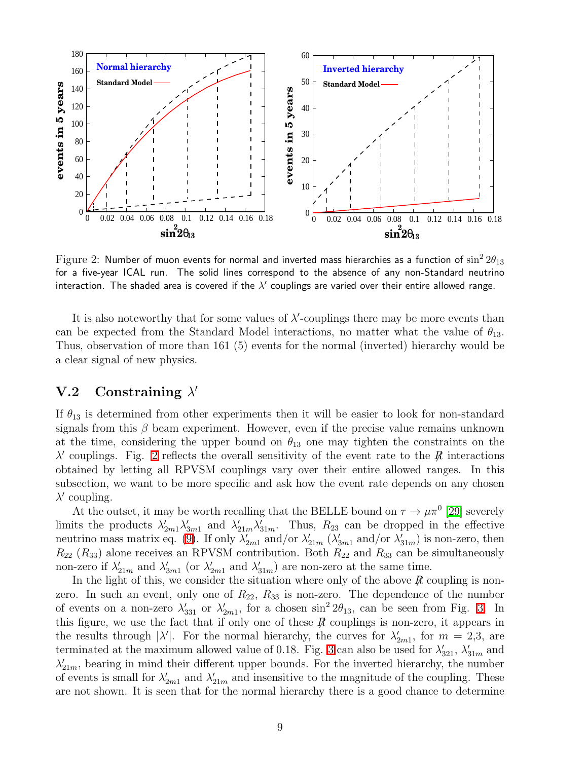

<span id="page-8-0"></span>Figure 2: Number of muon events for normal and inverted mass hierarchies as a function of  $\sin^2 2\theta_{13}$ for a five-year ICAL run. The solid lines correspond to the absence of any non-Standard neutrino interaction. The shaded area is covered if the  $\lambda'$  couplings are varied over their entire allowed range.

It is also noteworthy that for some values of  $\lambda'$ -couplings there may be more events than can be expected from the Standard Model interactions, no matter what the value of  $\theta_{13}$ . Thus, observation of more than 161 (5) events for the normal (inverted) hierarchy would be a clear signal of new physics.

### $\rm V.2 \quad$  Constraining  $\lambda'$

If  $\theta_{13}$  is determined from other experiments then it will be easier to look for non-standard signals from this  $\beta$  beam experiment. However, even if the precise value remains unknown at the time, considering the upper bound on  $\theta_{13}$  one may tighten the constraints on the  $\lambda'$  couplings. Fig. [2](#page-8-0) reflects the overall sensitivity of the event rate to the  $\beta$  interactions obtained by letting all RPVSM couplings vary over their entire allowed ranges. In this subsection, we want to be more specific and ask how the event rate depends on any chosen  $\lambda'$  coupling.

At the outset, it may be worth recalling that the BELLE bound on  $\tau \to \mu \pi^0$  [\[29\]](#page-12-13) severely limits the products  $\lambda'_{2m1}\lambda'_{3m1}$  and  $\lambda'_{21m}\lambda'_{31m}$ . Thus,  $R_{23}$  can be dropped in the effective neutrino mass matrix eq. [\(9\)](#page-4-1). If only  $\lambda'_{2m1}$  and/or  $\lambda'_{21m}$  ( $\lambda'_{3m1}$  and/or  $\lambda'_{31m}$ ) is non-zero, then  $R_{22}$  ( $R_{33}$ ) alone receives an RPVSM contribution. Both  $R_{22}$  and  $R_{33}$  can be simultaneously non-zero if  $\lambda'_{21m}$  and  $\lambda'_{3m1}$  (or  $\lambda'_{2m1}$  and  $\lambda'_{31m}$ ) are non-zero at the same time.

In the light of this, we consider the situation where only of the above  $\mathbb R$  coupling is nonzero. In such an event, only one of  $R_{22}$ ,  $R_{33}$  is non-zero. The dependence of the number of events on a non-zero  $\lambda'_{331}$  or  $\lambda'_{2m1}$ , for a chosen  $\sin^2 2\theta_{13}$ , can be seen from Fig. [3.](#page-9-0) In this figure, we use the fact that if only one of these  $\cancel{R}$  couplings is non-zero, it appears in the results through  $|\lambda'|$ . For the normal hierarchy, the curves for  $\lambda'_{2m1}$ , for  $m = 2,3$ , are terminated at the maximum allowed value of 0.18. Fig. [3](#page-9-0) can also be used for  $\lambda'_{321}$ ,  $\lambda'_{31m}$  and  $\lambda'_{21m}$ , bearing in mind their different upper bounds. For the inverted hierarchy, the number of events is small for  $\lambda'_{2m1}$  and  $\lambda'_{21m}$  and insensitive to the magnitude of the coupling. These are not shown. It is seen that for the normal hierarchy there is a good chance to determine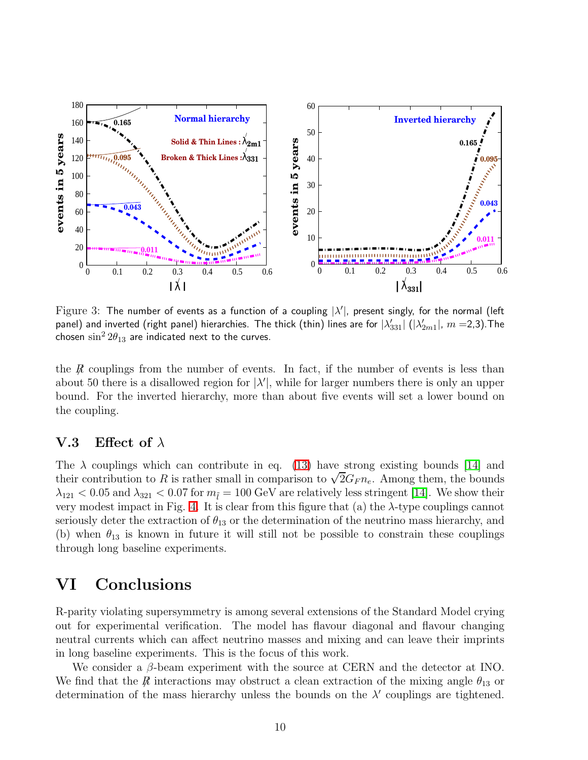

<span id="page-9-0"></span>Figure 3: The number of events as a function of a coupling  $|\lambda'|$ , present singly, for the normal (left panel) and inverted (right panel) hierarchies. The thick (thin) lines are for  $|\lambda'_{331}|$  ( $|\lambda'_{2m1}|$ ,  $m=$ 2,3).The chosen  $\sin^2 2\theta_{13}$  are indicated next to the curves.

the  $\vec{R}$  couplings from the number of events. In fact, if the number of events is less than about 50 there is a disallowed region for  $|\lambda'|$ , while for larger numbers there is only an upper bound. For the inverted hierarchy, more than about five events will set a lower bound on the coupling.

#### V.3 Effect of  $\lambda$

The  $\lambda$  couplings which can contribute in eq. [\(13\)](#page-4-3) have strong existing bounds [\[14\]](#page-11-13) and their contribution to R is rather small in comparison to  $\sqrt{2}G_{F}n_e$ . Among them, the bounds  $\lambda_{121}$  < 0.05 and  $\lambda_{321}$  < 0.07 for  $m_{\tilde{l}} = 100 \text{ GeV}$  are relatively less stringent [\[14\]](#page-11-13). We show their very modest impact in Fig. [4.](#page-10-0) It is clear from this figure that (a) the  $\lambda$ -type couplings cannot seriously deter the extraction of  $\theta_{13}$  or the determination of the neutrino mass hierarchy, and (b) when  $\theta_{13}$  is known in future it will still not be possible to constrain these couplings through long baseline experiments.

### VI Conclusions

R-parity violating supersymmetry is among several extensions of the Standard Model crying out for experimental verification. The model has flavour diagonal and flavour changing neutral currents which can affect neutrino masses and mixing and can leave their imprints in long baseline experiments. This is the focus of this work.

We consider a  $\beta$ -beam experiment with the source at CERN and the detector at INO. We find that the R interactions may obstruct a clean extraction of the mixing angle  $\theta_{13}$  or determination of the mass hierarchy unless the bounds on the  $\lambda'$  couplings are tightened.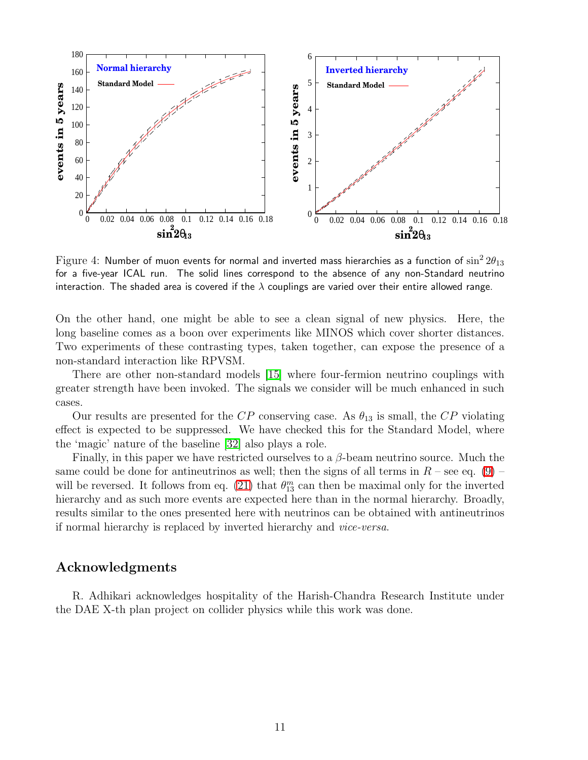

<span id="page-10-0"></span>Figure 4: Number of muon events for normal and inverted mass hierarchies as a function of  $\sin^2 2\theta_{13}$ for a five-year ICAL run. The solid lines correspond to the absence of any non-Standard neutrino interaction. The shaded area is covered if the  $\lambda$  couplings are varied over their entire allowed range.

On the other hand, one might be able to see a clean signal of new physics. Here, the long baseline comes as a boon over experiments like MINOS which cover shorter distances. Two experiments of these contrasting types, taken together, can expose the presence of a non-standard interaction like RPVSM.

There are other non-standard models [\[15\]](#page-11-14) where four-fermion neutrino couplings with greater strength have been invoked. The signals we consider will be much enhanced in such cases.

Our results are presented for the CP conserving case. As  $\theta_{13}$  is small, the CP violating effect is expected to be suppressed. We have checked this for the Standard Model, where the 'magic' nature of the baseline [\[32\]](#page-12-16) also plays a role.

Finally, in this paper we have restricted ourselves to a  $\beta$ -beam neutrino source. Much the same could be done for antineutrinos as well; then the signs of all terms in  $R$  – see eq. [\(9\)](#page-4-1) – will be reversed. It follows from eq. [\(21\)](#page-5-2) that  $\theta_{13}^m$  can then be maximal only for the inverted hierarchy and as such more events are expected here than in the normal hierarchy. Broadly, results similar to the ones presented here with neutrinos can be obtained with antineutrinos if normal hierarchy is replaced by inverted hierarchy and vice-versa.

#### Acknowledgments

R. Adhikari acknowledges hospitality of the Harish-Chandra Research Institute under the DAE X-th plan project on collider physics while this work was done.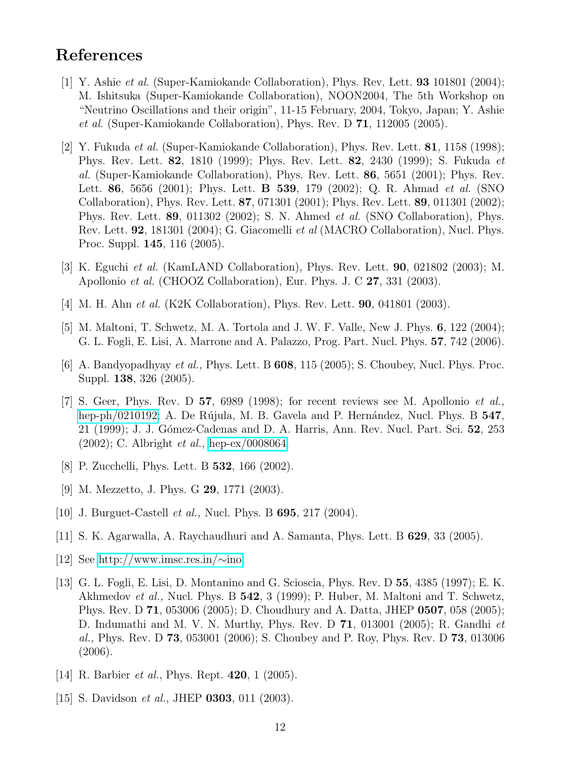# <span id="page-11-0"></span>References

- [1] Y. Ashie et al. (Super-Kamiokande Collaboration), Phys. Rev. Lett. 93 101801 (2004); M. Ishitsuka (Super-Kamiokande Collaboration), NOON2004, The 5th Workshop on "Neutrino Oscillations and their origin", 11-15 February, 2004, Tokyo, Japan; Y. Ashie et al. (Super-Kamiokande Collaboration), Phys. Rev. D 71, 112005 (2005).
- <span id="page-11-1"></span>[2] Y. Fukuda et al. (Super-Kamiokande Collaboration), Phys. Rev. Lett. 81, 1158 (1998); Phys. Rev. Lett. 82, 1810 (1999); Phys. Rev. Lett. 82, 2430 (1999); S. Fukuda et al. (Super-Kamiokande Collaboration), Phys. Rev. Lett. 86, 5651 (2001); Phys. Rev. Lett. 86, 5656 (2001); Phys. Lett. **B 539**, 179 (2002); Q. R. Ahmad *et al.* (SNO Collaboration), Phys. Rev. Lett. 87, 071301 (2001); Phys. Rev. Lett. 89, 011301 (2002); Phys. Rev. Lett. 89, 011302 (2002); S. N. Ahmed et al. (SNO Collaboration), Phys. Rev. Lett. **92**, 181301 (2004); G. Giacomelli *et al* (MACRO Collaboration), Nucl. Phys. Proc. Suppl. 145, 116 (2005).
- <span id="page-11-3"></span><span id="page-11-2"></span>[3] K. Eguchi et al. (KamLAND Collaboration), Phys. Rev. Lett. 90, 021802 (2003); M. Apollonio et al. (CHOOZ Collaboration), Eur. Phys. J. C 27, 331 (2003).
- <span id="page-11-4"></span>[4] M. H. Ahn et al. (K2K Collaboration), Phys. Rev. Lett. 90, 041801 (2003).
- <span id="page-11-5"></span>[5] M. Maltoni, T. Schwetz, M. A. Tortola and J. W. F. Valle, New J. Phys. 6, 122 (2004); G. L. Fogli, E. Lisi, A. Marrone and A. Palazzo, Prog. Part. Nucl. Phys. 57, 742 (2006).
- [6] A. Bandyopadhyay et al., Phys. Lett. B 608, 115 (2005); S. Choubey, Nucl. Phys. Proc. Suppl. 138, 326 (2005).
- <span id="page-11-6"></span>[7] S. Geer, Phys. Rev. D 57, 6989 (1998); for recent reviews see M. Apollonio *et al.*, [hep-ph/0210192;](http://arxiv.org/abs/hep-ph/0210192) A. De Rújula, M. B. Gavela and P. Hernández, Nucl. Phys. B 547, 21 (1999); J. J. G´omez-Cadenas and D. A. Harris, Ann. Rev. Nucl. Part. Sci. 52, 253  $(2002)$ ; C. Albright *et al.*, [hep-ex/0008064.](http://arxiv.org/abs/hep-ex/0008064)
- <span id="page-11-8"></span><span id="page-11-7"></span>[8] P. Zucchelli, Phys. Lett. B 532, 166 (2002).
- [9] M. Mezzetto, J. Phys. G 29, 1771 (2003).
- <span id="page-11-10"></span><span id="page-11-9"></span>[10] J. Burguet-Castell *et al.*, Nucl. Phys. B **695**, 217 (2004).
- <span id="page-11-11"></span>[11] S. K. Agarwalla, A. Raychaudhuri and A. Samanta, Phys. Lett. B 629, 33 (2005).
- <span id="page-11-12"></span>[12] See [http://www.imsc.res.in/](http://www.imsc.res.in/~ino)∼ino.
- [13] G. L. Fogli, E. Lisi, D. Montanino and G. Scioscia, Phys. Rev. D 55, 4385 (1997); E. K. Akhmedov et al., Nucl. Phys. B 542, 3 (1999); P. Huber, M. Maltoni and T. Schwetz, Phys. Rev. D 71, 053006 (2005); D. Choudhury and A. Datta, JHEP 0507, 058 (2005); D. Indumathi and M. V. N. Murthy, Phys. Rev. D  $71$ , 013001 (2005); R. Gandhi et al., Phys. Rev. D 73, 053001 (2006); S. Choubey and P. Roy, Phys. Rev. D 73, 013006 (2006).
- <span id="page-11-14"></span><span id="page-11-13"></span>[14] R. Barbier *et al.*, Phys. Rept.  $420, 1$  (2005).
- [15] S. Davidson *et al.*, JHEP **0303**, 011 (2003).